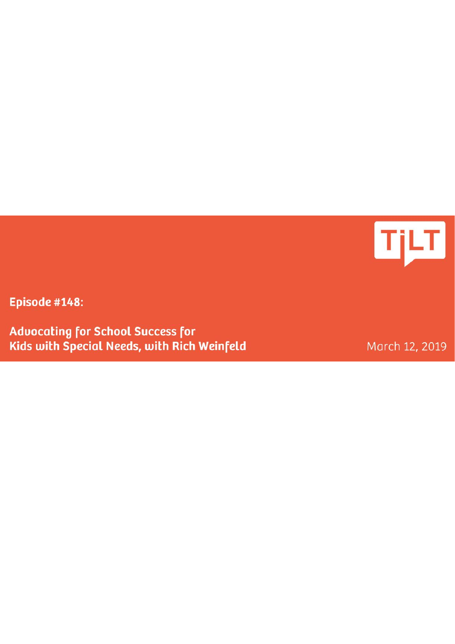

Episode #148:

**Advocating for School Success for** Kids with Special Needs, with Rich Weinfeld

March 12, 2019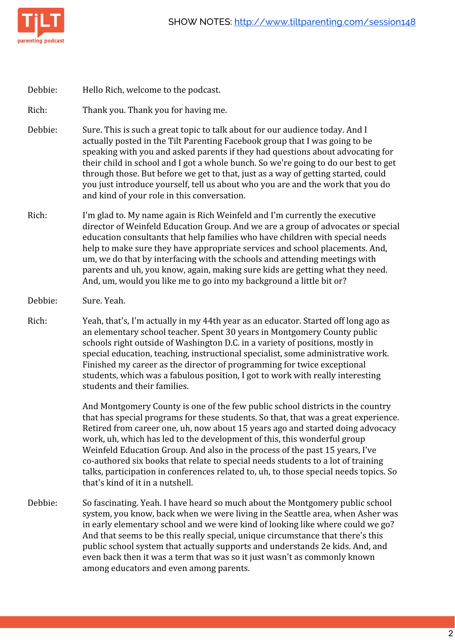

Debbie: Hello Rich, welcome to the podcast.

Rich: Thank you. Thank you for having me.

- Debbie: Sure. This is such a great topic to talk about for our audience today. And I actually posted in the Tilt Parenting Facebook group that I was going to be speaking with you and asked parents if they had questions about advocating for their child in school and I got a whole bunch. So we're going to do our best to get through those. But before we get to that, just as a way of getting started, could you just introduce yourself, tell us about who you are and the work that you do and kind of your role in this conversation.
- Rich: I'm glad to. My name again is Rich Weinfeld and I'm currently the executive director of Weinfeld Education Group. And we are a group of advocates or special education consultants that help families who have children with special needs help to make sure they have appropriate services and school placements. And, um, we do that by interfacing with the schools and attending meetings with parents and uh, you know, again, making sure kids are getting what they need. And, um, would you like me to go into my background a little bit or?
- Debbie: Sure. Yeah.
- Rich: Yeah, that's, I'm actually in my 44th year as an educator. Started off long ago as an elementary school teacher. Spent 30 years in Montgomery County public schools right outside of Washington D.C. in a variety of positions, mostly in special education, teaching, instructional specialist, some administrative work. Finished my career as the director of programming for twice exceptional students, which was a fabulous position, I got to work with really interesting students and their families.

And Montgomery County is one of the few public school districts in the country that has special programs for these students. So that, that was a great experience. Retired from career one, uh, now about 15 years ago and started doing advocacy work, uh, which has led to the development of this, this wonderful group Weinfeld Education Group. And also in the process of the past 15 years, I've co-authored six books that relate to special needs students to a lot of training talks, participation in conferences related to, uh, to those special needs topics. So that's kind of it in a nutshell.

Debbie: So fascinating. Yeah. I have heard so much about the Montgomery public school system, you know, back when we were living in the Seattle area, when Asher was in early elementary school and we were kind of looking like where could we go? And that seems to be this really special, unique circumstance that there's this public school system that actually supports and understands 2e kids. And, and even back then it was a term that was so it just wasn't as commonly known among educators and even among parents.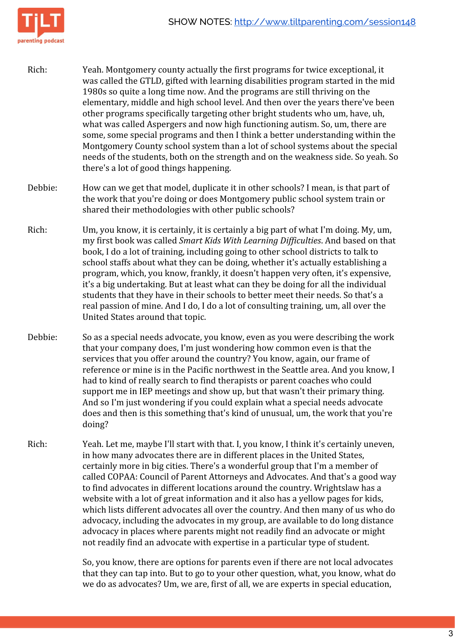

- Rich: Yeah. Montgomery county actually the first programs for twice exceptional, it was called the GTLD, gifted with learning disabilities program started in the mid 1980s so quite a long time now. And the programs are still thriving on the elementary, middle and high school level. And then over the years there've been other programs specifically targeting other bright students who um, have, uh, what was called Aspergers and now high functioning autism. So, um, there are some, some special programs and then I think a better understanding within the Montgomery County school system than a lot of school systems about the special needs of the students, both on the strength and on the weakness side. So yeah. So there's a lot of good things happening.
- Debbie: How can we get that model, duplicate it in other schools? I mean, is that part of the work that you're doing or does Montgomery public school system train or shared their methodologies with other public schools?
- Rich: Um, you know, it is certainly, it is certainly a big part of what I'm doing. My, um, my first book was called *Smart Kids With Learning Difficulties*. And based on that book, I do a lot of training, including going to other school districts to talk to school staffs about what they can be doing, whether it's actually establishing a program, which, you know, frankly, it doesn't happen very often, it's expensive, it's a big undertaking. But at least what can they be doing for all the individual students that they have in their schools to better meet their needs. So that's a real passion of mine. And I do, I do a lot of consulting training, um, all over the United States around that topic.
- Debbie: So as a special needs advocate, you know, even as you were describing the work that your company does, I'm just wondering how common even is that the services that you offer around the country? You know, again, our frame of reference or mine is in the Pacific northwest in the Seattle area. And you know, I had to kind of really search to find therapists or parent coaches who could support me in IEP meetings and show up, but that wasn't their primary thing. And so I'm just wondering if you could explain what a special needs advocate does and then is this something that's kind of unusual, um, the work that you're doing?
- Rich: Yeah. Let me, maybe I'll start with that. I, you know, I think it's certainly uneven, in how many advocates there are in different places in the United States, certainly more in big cities. There's a wonderful group that I'm a member of called COPAA: Council of Parent Attorneys and Advocates. And that's a good way to find advocates in different locations around the country. Wrightslaw has a website with a lot of great information and it also has a yellow pages for kids, which lists different advocates all over the country. And then many of us who do advocacy, including the advocates in my group, are available to do long distance advocacy in places where parents might not readily find an advocate or might not readily find an advocate with expertise in a particular type of student.

So, you know, there are options for parents even if there are not local advocates that they can tap into. But to go to your other question, what, you know, what do we do as advocates? Um, we are, first of all, we are experts in special education,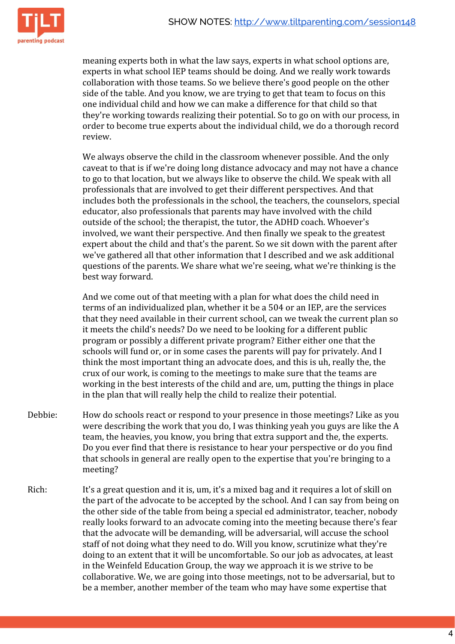

meaning experts both in what the law says, experts in what school options are, experts in what school IEP teams should be doing. And we really work towards collaboration with those teams. So we believe there's good people on the other side of the table. And you know, we are trying to get that team to focus on this one individual child and how we can make a difference for that child so that they're working towards realizing their potential. So to go on with our process, in order to become true experts about the individual child, we do a thorough record review.

We always observe the child in the classroom whenever possible. And the only caveat to that is if we're doing long distance advocacy and may not have a chance to go to that location, but we always like to observe the child. We speak with all professionals that are involved to get their different perspectives. And that includes both the professionals in the school, the teachers, the counselors, special educator, also professionals that parents may have involved with the child outside of the school; the therapist, the tutor, the ADHD coach. Whoever's involved, we want their perspective. And then finally we speak to the greatest expert about the child and that's the parent. So we sit down with the parent after we've gathered all that other information that I described and we ask additional questions of the parents. We share what we're seeing, what we're thinking is the best way forward.

And we come out of that meeting with a plan for what does the child need in terms of an individualized plan, whether it be a 504 or an IEP, are the services that they need available in their current school, can we tweak the current plan so it meets the child's needs? Do we need to be looking for a different public program or possibly a different private program? Either either one that the schools will fund or, or in some cases the parents will pay for privately. And I think the most important thing an advocate does, and this is uh, really the, the crux of our work, is coming to the meetings to make sure that the teams are working in the best interests of the child and are, um, putting the things in place in the plan that will really help the child to realize their potential.

- Debbie: How do schools react or respond to your presence in those meetings? Like as you were describing the work that you do, I was thinking yeah you guys are like the A team, the heavies, you know, you bring that extra support and the, the experts. Do you ever find that there is resistance to hear your perspective or do you find that schools in general are really open to the expertise that you're bringing to a meeting?
- Rich: It's a great question and it is, um, it's a mixed bag and it requires a lot of skill on the part of the advocate to be accepted by the school. And I can say from being on the other side of the table from being a special ed administrator, teacher, nobody really looks forward to an advocate coming into the meeting because there's fear that the advocate will be demanding, will be adversarial, will accuse the school staff of not doing what they need to do. Will you know, scrutinize what they're doing to an extent that it will be uncomfortable. So our job as advocates, at least in the Weinfeld Education Group, the way we approach it is we strive to be collaborative. We, we are going into those meetings, not to be adversarial, but to be a member, another member of the team who may have some expertise that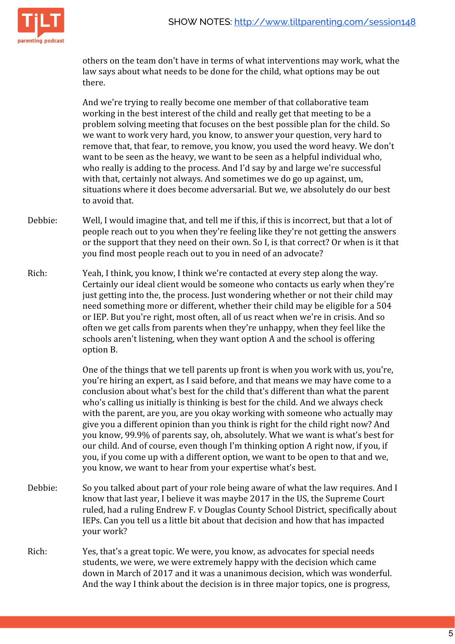

others on the team don't have in terms of what interventions may work, what the law says about what needs to be done for the child, what options may be out there.

And we're trying to really become one member of that collaborative team working in the best interest of the child and really get that meeting to be a problem solving meeting that focuses on the best possible plan for the child. So we want to work very hard, you know, to answer your question, very hard to remove that, that fear, to remove, you know, you used the word heavy. We don't want to be seen as the heavy, we want to be seen as a helpful individual who, who really is adding to the process. And I'd say by and large we're successful with that, certainly not always. And sometimes we do go up against, um, situations where it does become adversarial. But we, we absolutely do our best to avoid that.

- Debbie: Well, I would imagine that, and tell me if this, if this is incorrect, but that a lot of people reach out to you when they're feeling like they're not getting the answers or the support that they need on their own. So I, is that correct? Or when is it that you find most people reach out to you in need of an advocate?
- Rich: Yeah, I think, you know, I think we're contacted at every step along the way. Certainly our ideal client would be someone who contacts us early when they're just getting into the, the process. Just wondering whether or not their child may need something more or different, whether their child may be eligible for a 504 or IEP. But you're right, most often, all of us react when we're in crisis. And so often we get calls from parents when they're unhappy, when they feel like the schools aren't listening, when they want option A and the school is offering option B.

One of the things that we tell parents up front is when you work with us, you're, you're hiring an expert, as I said before, and that means we may have come to a conclusion about what's best for the child that's different than what the parent who's calling us initially is thinking is best for the child. And we always check with the parent, are you, are you okay working with someone who actually may give you a different opinion than you think is right for the child right now? And you know, 99.9% of parents say, oh, absolutely. What we want is what's best for our child. And of course, even though I'm thinking option A right now, if you, if you, if you come up with a different option, we want to be open to that and we, you know, we want to hear from your expertise what's best.

- Debbie: So you talked about part of your role being aware of what the law requires. And I know that last year, I believe it was maybe 2017 in the US, the Supreme Court ruled, had a ruling Endrew F. v Douglas County School District, specifically about IEPs. Can you tell us a little bit about that decision and how that has impacted your work?
- Rich: Yes, that's a great topic. We were, you know, as advocates for special needs students, we were, we were extremely happy with the decision which came down in March of 2017 and it was a unanimous decision, which was wonderful. And the way I think about the decision is in three major topics, one is progress,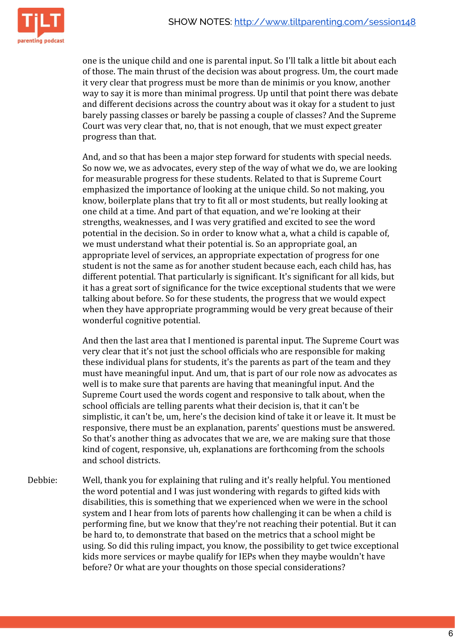

one is the unique child and one is parental input. So I'll talk a little bit about each of those. The main thrust of the decision was about progress. Um, the court made it very clear that progress must be more than de minimis or you know, another way to say it is more than minimal progress. Up until that point there was debate and different decisions across the country about was it okay for a student to just barely passing classes or barely be passing a couple of classes? And the Supreme Court was very clear that, no, that is not enough, that we must expect greater progress than that.

And, and so that has been a major step forward for students with special needs. So now we, we as advocates, every step of the way of what we do, we are looking for measurable progress for these students. Related to that is Supreme Court emphasized the importance of looking at the unique child. So not making, you know, boilerplate plans that try to fit all or most students, but really looking at one child at a time. And part of that equation, and we're looking at their strengths, weaknesses, and I was very gratified and excited to see the word potential in the decision. So in order to know what a, what a child is capable of, we must understand what their potential is. So an appropriate goal, an appropriate level of services, an appropriate expectation of progress for one student is not the same as for another student because each, each child has, has different potential. That particularly is significant. It's significant for all kids, but it has a great sort of significance for the twice exceptional students that we were talking about before. So for these students, the progress that we would expect when they have appropriate programming would be very great because of their wonderful cognitive potential.

And then the last area that I mentioned is parental input. The Supreme Court was very clear that it's not just the school officials who are responsible for making these individual plans for students, it's the parents as part of the team and they must have meaningful input. And um, that is part of our role now as advocates as well is to make sure that parents are having that meaningful input. And the Supreme Court used the words cogent and responsive to talk about, when the school officials are telling parents what their decision is, that it can't be simplistic, it can't be, um, here's the decision kind of take it or leave it. It must be responsive, there must be an explanation, parents' questions must be answered. So that's another thing as advocates that we are, we are making sure that those kind of cogent, responsive, uh, explanations are forthcoming from the schools and school districts.

Debbie: Well, thank you for explaining that ruling and it's really helpful. You mentioned the word potential and I was just wondering with regards to gifted kids with disabilities, this is something that we experienced when we were in the school system and I hear from lots of parents how challenging it can be when a child is performing fine, but we know that they're not reaching their potential. But it can be hard to, to demonstrate that based on the metrics that a school might be using. So did this ruling impact, you know, the possibility to get twice exceptional kids more services or maybe qualify for IEPs when they maybe wouldn't have before? Or what are your thoughts on those special considerations?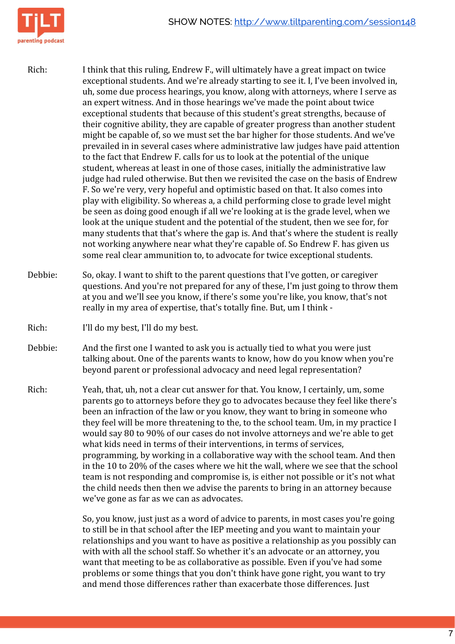

- Rich: I think that this ruling, Endrew F., will ultimately have a great impact on twice exceptional students. And we're already starting to see it. I, I've been involved in, uh, some due process hearings, you know, along with attorneys, where I serve as an expert witness. And in those hearings we've made the point about twice exceptional students that because of this student's great strengths, because of their cognitive ability, they are capable of greater progress than another student might be capable of, so we must set the bar higher for those students. And we've prevailed in in several cases where administrative law judges have paid attention to the fact that Endrew F. calls for us to look at the potential of the unique student, whereas at least in one of those cases, initially the administrative law judge had ruled otherwise. But then we revisited the case on the basis of Endrew F. So we're very, very hopeful and optimistic based on that. It also comes into play with eligibility. So whereas a, a child performing close to grade level might be seen as doing good enough if all we're looking at is the grade level, when we look at the unique student and the potential of the student, then we see for, for many students that that's where the gap is. And that's where the student is really not working anywhere near what they're capable of. So Endrew F. has given us some real clear ammunition to, to advocate for twice exceptional students.
- Debbie: So, okay. I want to shift to the parent questions that I've gotten, or caregiver questions. And you're not prepared for any of these, I'm just going to throw them at you and we'll see you know, if there's some you're like, you know, that's not really in my area of expertise, that's totally fine. But, um I think -
- Rich: I'll do my best, I'll do my best.
- Debbie: And the first one I wanted to ask you is actually tied to what you were just talking about. One of the parents wants to know, how do you know when you're beyond parent or professional advocacy and need legal representation?
- Rich: Yeah, that, uh, not a clear cut answer for that. You know, I certainly, um, some parents go to attorneys before they go to advocates because they feel like there's been an infraction of the law or you know, they want to bring in someone who they feel will be more threatening to the, to the school team. Um, in my practice I would say 80 to 90% of our cases do not involve attorneys and we're able to get what kids need in terms of their interventions, in terms of services, programming, by working in a collaborative way with the school team. And then in the 10 to 20% of the cases where we hit the wall, where we see that the school team is not responding and compromise is, is either not possible or it's not what the child needs then then we advise the parents to bring in an attorney because we've gone as far as we can as advocates.

So, you know, just just as a word of advice to parents, in most cases you're going to still be in that school after the IEP meeting and you want to maintain your relationships and you want to have as positive a relationship as you possibly can with with all the school staff. So whether it's an advocate or an attorney, you want that meeting to be as collaborative as possible. Even if you've had some problems or some things that you don't think have gone right, you want to try and mend those differences rather than exacerbate those differences. Just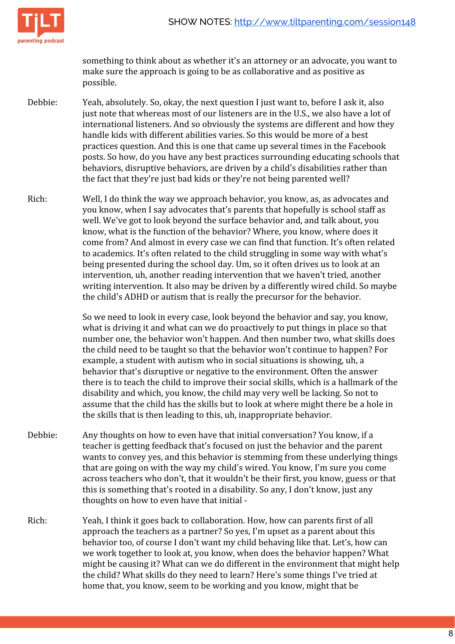

something to think about as whether it's an attorney or an advocate, you want to make sure the approach is going to be as collaborative and as positive as possible.

- Debbie: Yeah, absolutely. So, okay, the next question I just want to, before I ask it, also just note that whereas most of our listeners are in the U.S., we also have a lot of international listeners. And so obviously the systems are different and how they handle kids with different abilities varies. So this would be more of a best practices question. And this is one that came up several times in the Facebook posts. So how, do you have any best practices surrounding educating schools that behaviors, disruptive behaviors, are driven by a child's disabilities rather than the fact that they're just bad kids or they're not being parented well?
- Rich: Well, I do think the way we approach behavior, you know, as, as advocates and you know, when I say advocates that's parents that hopefully is school staff as well. We've got to look beyond the surface behavior and, and talk about, you know, what is the function of the behavior? Where, you know, where does it come from? And almost in every case we can find that function. It's often related to academics. It's often related to the child struggling in some way with what's being presented during the school day. Um, so it often drives us to look at an intervention, uh, another reading intervention that we haven't tried, another writing intervention. It also may be driven by a differently wired child. So maybe the child's ADHD or autism that is really the precursor for the behavior.

So we need to look in every case, look beyond the behavior and say, you know, what is driving it and what can we do proactively to put things in place so that number one, the behavior won't happen. And then number two, what skills does the child need to be taught so that the behavior won't continue to happen? For example, a student with autism who in social situations is showing, uh, a behavior that's disruptive or negative to the environment. Often the answer there is to teach the child to improve their social skills, which is a hallmark of the disability and which, you know, the child may very well be lacking. So not to assume that the child has the skills but to look at where might there be a hole in the skills that is then leading to this, uh, inappropriate behavior.

- Debbie: Any thoughts on how to even have that initial conversation? You know, if a teacher is getting feedback that's focused on just the behavior and the parent wants to convey yes, and this behavior is stemming from these underlying things that are going on with the way my child's wired. You know, I'm sure you come across teachers who don't, that it wouldn't be their first, you know, guess or that this is something that's rooted in a disability. So any, I don't know, just any thoughts on how to even have that initial -
- Rich: Yeah, I think it goes back to collaboration. How, how can parents first of all approach the teachers as a partner? So yes, I'm upset as a parent about this behavior too, of course I don't want my child behaving like that. Let's, how can we work together to look at, you know, when does the behavior happen? What might be causing it? What can we do different in the environment that might help the child? What skills do they need to learn? Here's some things I've tried at home that, you know, seem to be working and you know, might that be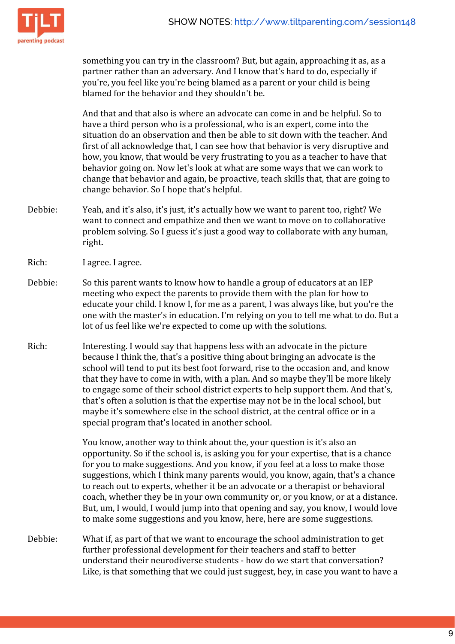

something you can try in the classroom? But, but again, approaching it as, as a partner rather than an adversary. And I know that's hard to do, especially if you're, you feel like you're being blamed as a parent or your child is being blamed for the behavior and they shouldn't be.

And that and that also is where an advocate can come in and be helpful. So to have a third person who is a professional, who is an expert, come into the situation do an observation and then be able to sit down with the teacher. And first of all acknowledge that, I can see how that behavior is very disruptive and how, you know, that would be very frustrating to you as a teacher to have that behavior going on. Now let's look at what are some ways that we can work to change that behavior and again, be proactive, teach skills that, that are going to change behavior. So I hope that's helpful.

- Debbie: Yeah, and it's also, it's just, it's actually how we want to parent too, right? We want to connect and empathize and then we want to move on to collaborative problem solving. So I guess it's just a good way to collaborate with any human, right.
- Rich: I agree. I agree.
- Debbie: So this parent wants to know how to handle a group of educators at an IEP meeting who expect the parents to provide them with the plan for how to educate your child. I know I, for me as a parent, I was always like, but you're the one with the master's in education. I'm relying on you to tell me what to do. But a lot of us feel like we're expected to come up with the solutions.
- Rich: Interesting. I would say that happens less with an advocate in the picture because I think the, that's a positive thing about bringing an advocate is the school will tend to put its best foot forward, rise to the occasion and, and know that they have to come in with, with a plan. And so maybe they'll be more likely to engage some of their school district experts to help support them. And that's, that's often a solution is that the expertise may not be in the local school, but maybe it's somewhere else in the school district, at the central office or in a special program that's located in another school.

You know, another way to think about the, your question is it's also an opportunity. So if the school is, is asking you for your expertise, that is a chance for you to make suggestions. And you know, if you feel at a loss to make those suggestions, which I think many parents would, you know, again, that's a chance to reach out to experts, whether it be an advocate or a therapist or behavioral coach, whether they be in your own community or, or you know, or at a distance. But, um, I would, I would jump into that opening and say, you know, I would love to make some suggestions and you know, here, here are some suggestions.

Debbie: What if, as part of that we want to encourage the school administration to get further professional development for their teachers and staff to better understand their neurodiverse students - how do we start that conversation? Like, is that something that we could just suggest, hey, in case you want to have a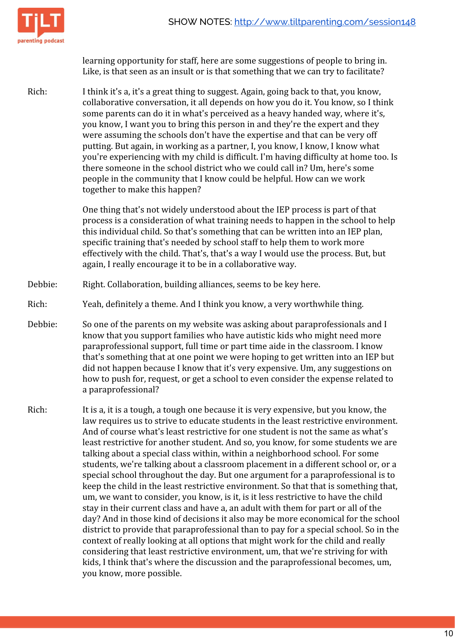

learning opportunity for staff, here are some suggestions of people to bring in. Like, is that seen as an insult or is that something that we can try to facilitate?

Rich: I think it's a, it's a great thing to suggest. Again, going back to that, you know, collaborative conversation, it all depends on how you do it. You know, so I think some parents can do it in what's perceived as a heavy handed way, where it's, you know, I want you to bring this person in and they're the expert and they were assuming the schools don't have the expertise and that can be very off putting. But again, in working as a partner, I, you know, I know, I know what you're experiencing with my child is difficult. I'm having difficulty at home too. Is there someone in the school district who we could call in? Um, here's some people in the community that I know could be helpful. How can we work together to make this happen?

> One thing that's not widely understood about the IEP process is part of that process is a consideration of what training needs to happen in the school to help this individual child. So that's something that can be written into an IEP plan, specific training that's needed by school staff to help them to work more effectively with the child. That's, that's a way I would use the process. But, but again, I really encourage it to be in a collaborative way.

- Debbie: Right. Collaboration, building alliances, seems to be key here.
- Rich: Yeah, definitely a theme. And I think you know, a very worthwhile thing.
- Debbie: So one of the parents on my website was asking about paraprofessionals and I know that you support families who have autistic kids who might need more paraprofessional support, full time or part time aide in the classroom. I know that's something that at one point we were hoping to get written into an IEP but did not happen because I know that it's very expensive. Um, any suggestions on how to push for, request, or get a school to even consider the expense related to a paraprofessional?
- Rich: It is a, it is a tough, a tough one because it is very expensive, but you know, the law requires us to strive to educate students in the least restrictive environment. And of course what's least restrictive for one student is not the same as what's least restrictive for another student. And so, you know, for some students we are talking about a special class within, within a neighborhood school. For some students, we're talking about a classroom placement in a different school or, or a special school throughout the day. But one argument for a paraprofessional is to keep the child in the least restrictive environment. So that that is something that, um, we want to consider, you know, is it, is it less restrictive to have the child stay in their current class and have a, an adult with them for part or all of the day? And in those kind of decisions it also may be more economical for the school district to provide that paraprofessional than to pay for a special school. So in the context of really looking at all options that might work for the child and really considering that least restrictive environment, um, that we're striving for with kids, I think that's where the discussion and the paraprofessional becomes, um, you know, more possible.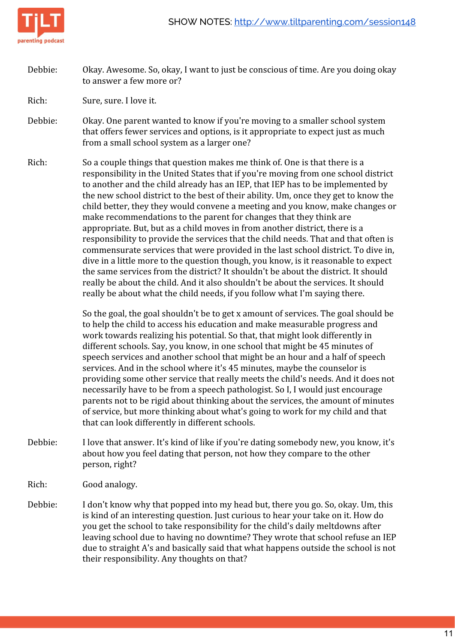



Debbie: Okay. Awesome. So, okay, I want to just be conscious of time. Are you doing okay to answer a few more or?

Rich: Sure, sure. I love it.

- Debbie: Okay. One parent wanted to know if you're moving to a smaller school system that offers fewer services and options, is it appropriate to expect just as much from a small school system as a larger one?
- Rich: So a couple things that question makes me think of. One is that there is a responsibility in the United States that if you're moving from one school district to another and the child already has an IEP, that IEP has to be implemented by the new school district to the best of their ability. Um, once they get to know the child better, they they would convene a meeting and you know, make changes or make recommendations to the parent for changes that they think are appropriate. But, but as a child moves in from another district, there is a responsibility to provide the services that the child needs. That and that often is commensurate services that were provided in the last school district. To dive in, dive in a little more to the question though, you know, is it reasonable to expect the same services from the district? It shouldn't be about the district. It should really be about the child. And it also shouldn't be about the services. It should really be about what the child needs, if you follow what I'm saying there.

So the goal, the goal shouldn't be to get x amount of services. The goal should be to help the child to access his education and make measurable progress and work towards realizing his potential. So that, that might look differently in different schools. Say, you know, in one school that might be 45 minutes of speech services and another school that might be an hour and a half of speech services. And in the school where it's 45 minutes, maybe the counselor is providing some other service that really meets the child's needs. And it does not necessarily have to be from a speech pathologist. So I, I would just encourage parents not to be rigid about thinking about the services, the amount of minutes of service, but more thinking about what's going to work for my child and that that can look differently in different schools.

- Debbie: I love that answer. It's kind of like if you're dating somebody new, you know, it's about how you feel dating that person, not how they compare to the other person, right?
- Rich: Good analogy.
- Debbie: I don't know why that popped into my head but, there you go. So, okay. Um, this is kind of an interesting question. Just curious to hear your take on it. How do you get the school to take responsibility for the child's daily meltdowns after leaving school due to having no downtime? They wrote that school refuse an IEP due to straight A's and basically said that what happens outside the school is not their responsibility. Any thoughts on that?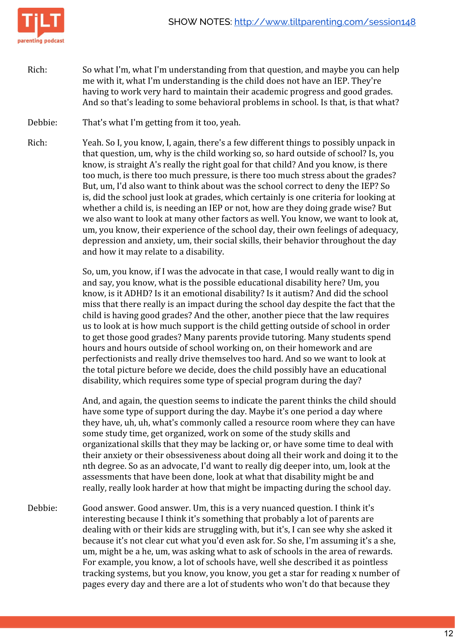

- Rich: So what I'm, what I'm understanding from that question, and maybe you can help me with it, what I'm understanding is the child does not have an IEP. They're having to work very hard to maintain their academic progress and good grades. And so that's leading to some behavioral problems in school. Is that, is that what?
- Debbie: That's what I'm getting from it too, yeah.
- Rich: Yeah. So I, you know, I, again, there's a few different things to possibly unpack in that question, um, why is the child working so, so hard outside of school? Is, you know, is straight A's really the right goal for that child? And you know, is there too much, is there too much pressure, is there too much stress about the grades? But, um, I'd also want to think about was the school correct to deny the IEP? So is, did the school just look at grades, which certainly is one criteria for looking at whether a child is, is needing an IEP or not, how are they doing grade wise? But we also want to look at many other factors as well. You know, we want to look at, um, you know, their experience of the school day, their own feelings of adequacy, depression and anxiety, um, their social skills, their behavior throughout the day and how it may relate to a disability.

So, um, you know, if I was the advocate in that case, I would really want to dig in and say, you know, what is the possible educational disability here? Um, you know, is it ADHD? Is it an emotional disability? Is it autism? And did the school miss that there really is an impact during the school day despite the fact that the child is having good grades? And the other, another piece that the law requires us to look at is how much support is the child getting outside of school in order to get those good grades? Many parents provide tutoring. Many students spend hours and hours outside of school working on, on their homework and are perfectionists and really drive themselves too hard. And so we want to look at the total picture before we decide, does the child possibly have an educational disability, which requires some type of special program during the day?

And, and again, the question seems to indicate the parent thinks the child should have some type of support during the day. Maybe it's one period a day where they have, uh, uh, what's commonly called a resource room where they can have some study time, get organized, work on some of the study skills and organizational skills that they may be lacking or, or have some time to deal with their anxiety or their obsessiveness about doing all their work and doing it to the nth degree. So as an advocate, I'd want to really dig deeper into, um, look at the assessments that have been done, look at what that disability might be and really, really look harder at how that might be impacting during the school day.

Debbie: Good answer. Good answer. Um, this is a very nuanced question. I think it's interesting because I think it's something that probably a lot of parents are dealing with or their kids are struggling with, but it's, I can see why she asked it because it's not clear cut what you'd even ask for. So she, I'm assuming it's a she, um, might be a he, um, was asking what to ask of schools in the area of rewards. For example, you know, a lot of schools have, well she described it as pointless tracking systems, but you know, you know, you get a star for reading x number of pages every day and there are a lot of students who won't do that because they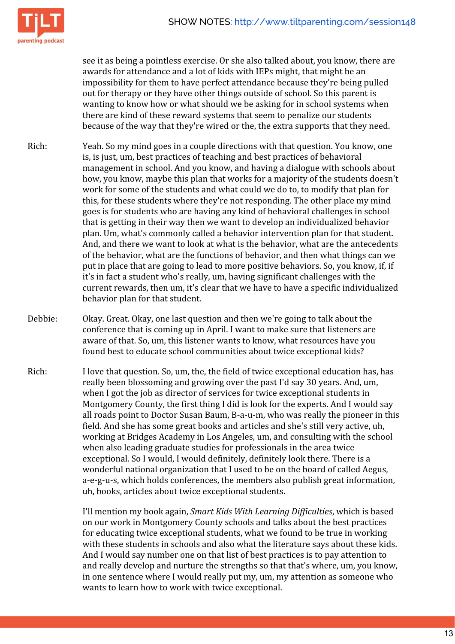

see it as being a pointless exercise. Or she also talked about, you know, there are awards for attendance and a lot of kids with IEPs might, that might be an impossibility for them to have perfect attendance because they're being pulled out for therapy or they have other things outside of school. So this parent is wanting to know how or what should we be asking for in school systems when there are kind of these reward systems that seem to penalize our students because of the way that they're wired or the, the extra supports that they need.

- Rich: Yeah. So my mind goes in a couple directions with that question. You know, one is, is just, um, best practices of teaching and best practices of behavioral management in school. And you know, and having a dialogue with schools about how, you know, maybe this plan that works for a majority of the students doesn't work for some of the students and what could we do to, to modify that plan for this, for these students where they're not responding. The other place my mind goes is for students who are having any kind of behavioral challenges in school that is getting in their way then we want to develop an individualized behavior plan. Um, what's commonly called a behavior intervention plan for that student. And, and there we want to look at what is the behavior, what are the antecedents of the behavior, what are the functions of behavior, and then what things can we put in place that are going to lead to more positive behaviors. So, you know, if, if it's in fact a student who's really, um, having significant challenges with the current rewards, then um, it's clear that we have to have a specific individualized behavior plan for that student.
- Debbie: Okay. Great. Okay, one last question and then we're going to talk about the conference that is coming up in April. I want to make sure that listeners are aware of that. So, um, this listener wants to know, what resources have you found best to educate school communities about twice exceptional kids?
- Rich: I love that question. So, um, the, the field of twice exceptional education has, has really been blossoming and growing over the past I'd say 30 years. And, um, when I got the job as director of services for twice exceptional students in Montgomery County, the first thing I did is look for the experts. And I would say all roads point to Doctor Susan Baum, B-a-u-m, who was really the pioneer in this field. And she has some great books and articles and she's still very active, uh, working at Bridges Academy in Los Angeles, um, and consulting with the school when also leading graduate studies for professionals in the area twice exceptional. So I would, I would definitely, definitely look there. There is a wonderful national organization that I used to be on the board of called Aegus, a-e-g-u-s, which holds conferences, the members also publish great information, uh, books, articles about twice exceptional students.

I'll mention my book again, *Smart Kids With Learning Difficulties*, which is based on our work in Montgomery County schools and talks about the best practices for educating twice exceptional students, what we found to be true in working with these students in schools and also what the literature says about these kids. And I would say number one on that list of best practices is to pay attention to and really develop and nurture the strengths so that that's where, um, you know, in one sentence where I would really put my, um, my attention as someone who wants to learn how to work with twice exceptional.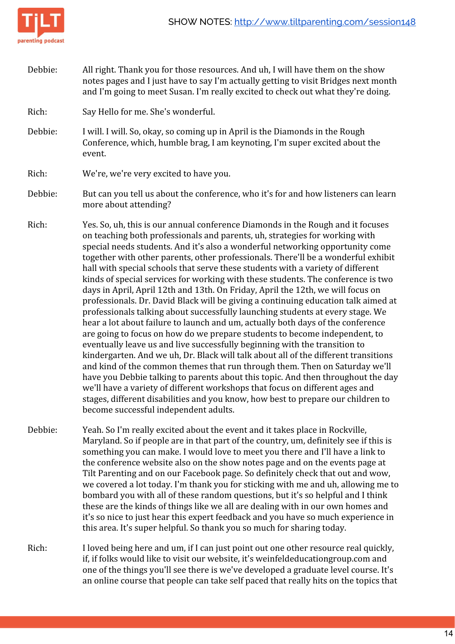



Debbie: All right. Thank you for those resources. And uh, I will have them on the show notes pages and I just have to say I'm actually getting to visit Bridges next month and I'm going to meet Susan. I'm really excited to check out what they're doing.

Rich: Say Hello for me. She's wonderful.

Debbie: I will. I will. So, okay, so coming up in April is the Diamonds in the Rough Conference, which, humble brag, I am keynoting, I'm super excited about the event.

Rich: We're, we're very excited to have you.

- Debbie: But can you tell us about the conference, who it's for and how listeners can learn more about attending?
- Rich: Yes. So, uh, this is our annual conference Diamonds in the Rough and it focuses on teaching both professionals and parents, uh, strategies for working with special needs students. And it's also a wonderful networking opportunity come together with other parents, other professionals. There'll be a wonderful exhibit hall with special schools that serve these students with a variety of different kinds of special services for working with these students. The conference is two days in April, April 12th and 13th. On Friday, April the 12th, we will focus on professionals. Dr. David Black will be giving a continuing education talk aimed at professionals talking about successfully launching students at every stage. We hear a lot about failure to launch and um, actually both days of the conference are going to focus on how do we prepare students to become independent, to eventually leave us and live successfully beginning with the transition to kindergarten. And we uh, Dr. Black will talk about all of the different transitions and kind of the common themes that run through them. Then on Saturday we'll have you Debbie talking to parents about this topic. And then throughout the day we'll have a variety of different workshops that focus on different ages and stages, different disabilities and you know, how best to prepare our children to become successful independent adults.
- Debbie: Yeah. So I'm really excited about the event and it takes place in Rockville, Maryland. So if people are in that part of the country, um, definitely see if this is something you can make. I would love to meet you there and I'll have a link to the conference website also on the show notes page and on the events page at Tilt Parenting and on our Facebook page. So definitely check that out and wow, we covered a lot today. I'm thank you for sticking with me and uh, allowing me to bombard you with all of these random questions, but it's so helpful and I think these are the kinds of things like we all are dealing with in our own homes and it's so nice to just hear this expert feedback and you have so much experience in this area. It's super helpful. So thank you so much for sharing today.
- Rich: I loved being here and um, if I can just point out one other resource real quickly, if, if folks would like to visit our website, it's weinfeldeducationgroup.com and one of the things you'll see there is we've developed a graduate level course. It's an online course that people can take self paced that really hits on the topics that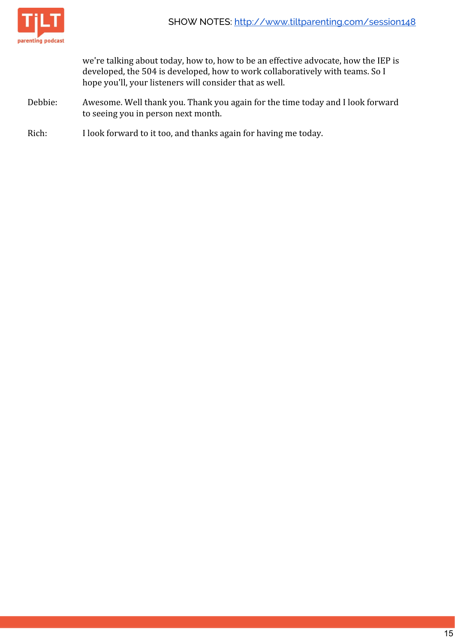

we're talking about today, how to, how to be an effective advocate, how the IEP is developed, the 504 is developed, how to work collaboratively with teams. So I hope you'll, your listeners will consider that as well.

- Debbie: Awesome. Well thank you. Thank you again for the time today and I look forward to seeing you in person next month.
- Rich: I look forward to it too, and thanks again for having me today.